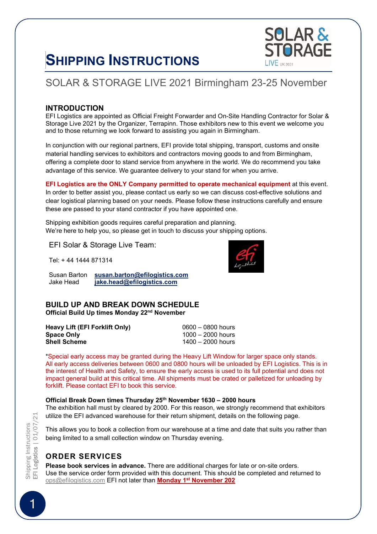# SHIPPING INSTRUCTIONS



# SOLAR & STORAGE LIVE 2021 Birmingham 23-25 November

#### **INTRODUCTION**

EFI Logistics are appointed as Official Freight Forwarder and On-Site Handling Contractor for Solar & Storage Live 2021 by the Organizer, Terrapinn. Those exhibitors new to this event we welcome you and to those returning we look forward to assisting you again in Birmingham.

In conjunction with our regional partners, EFI provide total shipping, transport, customs and onsite material handling services to exhibitors and contractors moving goods to and from Birmingham, offering a complete door to stand service from anywhere in the world. We do recommend you take advantage of this service. We guarantee delivery to your stand for when you arrive.

EFI Logistics are the ONLY Company permitted to operate mechanical equipment at this event. In order to better assist you, please contact us early so we can discuss cost-effective solutions and clear logistical planning based on your needs. Please follow these instructions carefully and ensure these are passed to your stand contractor if you have appointed one.

Shipping exhibition goods requires careful preparation and planning. We're here to help you, so please get in touch to discuss your shipping options.

EFI Solar & Storage Live Team:

Tel: + 44 1444 871314

Susan Barton susan.barton@efilogistics.com<br>Jake Head iake.head@efilogistics.com jake.head@efilogistics.com

#### BUILD UP AND BREAK DOWN SCHEDULE Official Build Up times Monday 22nd November

| Heavy Lift (EFI Forklift Only) | $0600 - 0800$ hours |
|--------------------------------|---------------------|
| <b>Space Only</b>              | 1000 – 2000 hours   |
| Shell Scheme                   | 1400 – 2000 hours   |

\*Special early access may be granted during the Heavy Lift Window for larger space only stands. All early access deliveries between 0600 and 0800 hours will be unloaded by EFI Logistics. This is in the interest of Health and Safety, to ensure the early access is used to its full potential and does not impact general build at this critical time. All shipments must be crated or palletized for unloading by forklift. Please contact EFI to book this service.

#### Official Break Down times Thursday 25th November 1630 – 2000 hours

The exhibition hall must by cleared by 2000. For this reason, we strongly recommend that exhibitors utilize the EFI advanced warehouse for their return shipment, details on the following page.

This allows you to book a collection from our warehouse at a time and date that suits you rather than being limited to a small collection window on Thursday evening.

# ORDER SERVICES

Please book services in advance. There are additional charges for late or on-site orders. Use the service order form provided with this document. This should be completed and returned to ops@efilogistics.com EFI not later than **Monday 1<sup>st</sup> November 202** 

Shipping Instructions<br>EF**I Logistics** | 01/07/21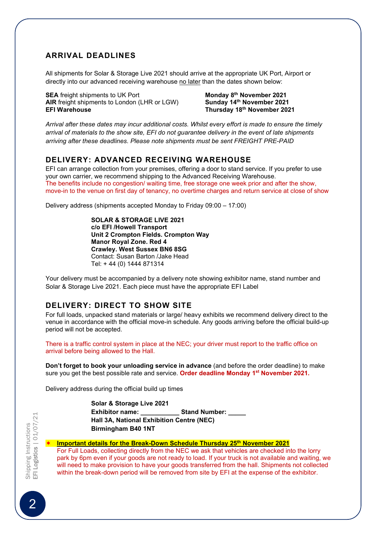#### ARRIVAL DEADLINES

All shipments for Solar & Storage Live 2021 should arrive at the appropriate UK Port, Airport or directly into our advanced receiving warehouse no later than the dates shown below:

SEA freight shipments to UK Port **Monday 8<sup>th</sup> November 2021**<br>AIR freight shipments to London (LHR or LGW) **Sunday 14<sup>th</sup> November 2021** AIR freight shipments to London (LHR or LGW) EFI Warehouse Thursday 18th November 2021

Arrival after these dates may incur additional costs. Whilst every effort is made to ensure the timely arrival of materials to the show site, EFI do not guarantee delivery in the event of late shipments arriving after these deadlines. Please note shipments must be sent FREIGHT PRE-PAID

#### DELIVERY: ADVANCED RECEIVING WAREHOUSE

EFI can arrange collection from your premises, offering a door to stand service. If you prefer to use your own carrier, we recommend shipping to the Advanced Receiving Warehouse. The benefits include no congestion/ waiting time, free storage one week prior and after the show, move-in to the venue on first day of tenancy, no overtime charges and return service at close of show

Delivery address (shipments accepted Monday to Friday 09:00 – 17:00)

SOLAR & STORAGE LIVE 2021 c/o EFI /Howell Transport Unit 2 Crompton Fields. Crompton Way Manor Royal Zone. Red 4 Crawley. West Sussex BN6 8SG Contact: Susan Barton /Jake Head Tel: + 44 (0) 1444 871314

Your delivery must be accompanied by a delivery note showing exhibitor name, stand number and Solar & Storage Live 2021. Each piece must have the appropriate EFI Label

#### DELIVERY: DIRECT TO SHOW SITE

For full loads, unpacked stand materials or large/ heavy exhibits we recommend delivery direct to the venue in accordance with the official move-in schedule. Any goods arriving before the official build-up period will not be accepted.

There is a traffic control system in place at the NEC; your driver must report to the traffic office on arrival before being allowed to the Hall.

Don't forget to book your unloading service in advance (and before the order deadline) to make sure you get the best possible rate and service. Order deadline Monday 1<sup>st</sup> November 2021.

Delivery address during the official build up times

#### Solar & Storage Live 2021

Exhibitor name: \_\_\_\_\_\_\_\_\_\_\_\_\_\_\_ Stand Number: \_\_ Hall 3A, National Exhibition Centre (NEC) Birmingham B40 1NT

#### Important details for the Break-Down Schedule Thursday 25th November 2021

For Full Loads, collecting directly from the NEC we ask that vehicles are checked into the lorry park by 6pm even if your goods are not ready to load. If your truck is not available and waiting, we will need to make provision to have your goods transferred from the hall. Shipments not collected within the break-down period will be removed from site by EFI at the expense of the exhibitor.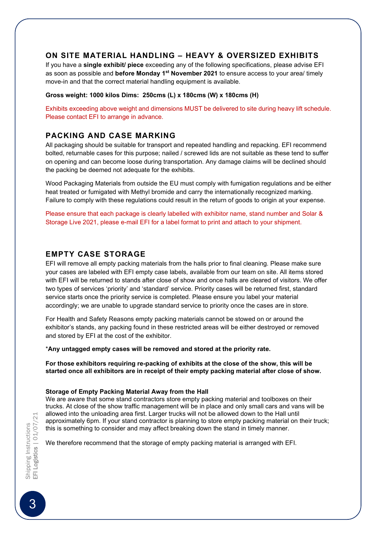#### ON SITE MATERIAL HANDLING – HEAVY & OVERSIZED EXHIBITS

If you have a single exhibit/ piece exceeding any of the following specifications, please advise EFI as soon as possible and before Monday  $1<sup>st</sup>$  November 2021 to ensure access to your area/ timely move-in and that the correct material handling equipment is available.

#### Gross weight: 1000 kilos Dims: 250cms (L) x 180cms (W) x 180cms (H)

Exhibits exceeding above weight and dimensions MUST be delivered to site during heavy lift schedule. Please contact EFI to arrange in advance.

#### PACKING AND CASE MARKING

All packaging should be suitable for transport and repeated handling and repacking. EFI recommend bolted, returnable cases for this purpose; nailed / screwed lids are not suitable as these tend to suffer on opening and can become loose during transportation. Any damage claims will be declined should the packing be deemed not adequate for the exhibits.

Wood Packaging Materials from outside the EU must comply with fumigation regulations and be either heat treated or fumigated with Methyl bromide and carry the internationally recognized marking. Failure to comply with these regulations could result in the return of goods to origin at your expense.

Please ensure that each package is clearly labelled with exhibitor name, stand number and Solar & Storage Live 2021, please e-mail EFI for a label format to print and attach to your shipment.

#### EMPTY CASE STORAGE

EFI will remove all empty packing materials from the halls prior to final cleaning. Please make sure your cases are labeled with EFI empty case labels, available from our team on site. All items stored with EFI will be returned to stands after close of show and once halls are cleared of visitors. We offer two types of services 'priority' and 'standard' service. Priority cases will be returned first, standard service starts once the priority service is completed. Please ensure you label your material accordingly; we are unable to upgrade standard service to priority once the cases are in store.

For Health and Safety Reasons empty packing materials cannot be stowed on or around the exhibitor's stands, any packing found in these restricted areas will be either destroyed or removed and stored by EFI at the cost of the exhibitor.

\*Any untagged empty cases will be removed and stored at the priority rate.

For those exhibitors requiring re-packing of exhibits at the close of the show, this will be started once all exhibitors are in receipt of their empty packing material after close of show.

#### Storage of Empty Packing Material Away from the Hall

We are aware that some stand contractors store empty packing material and toolboxes on their trucks. At close of the show traffic management will be in place and only small cars and vans will be allowed into the unloading area first. Larger trucks will not be allowed down to the Hall until approximately 6pm. If your stand contractor is planning to store empty packing material on their truck; this is something to consider and may affect breaking down the stand in timely manner.

We therefore recommend that the storage of empty packing material is arranged with EFI.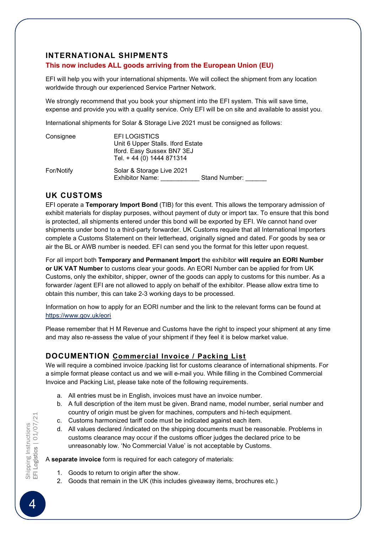#### INTERNATIONAL SHIPMENTS

#### This now includes ALL goods arriving from the European Union (EU)

EFI will help you with your international shipments. We will collect the shipment from any location worldwide through our experienced Service Partner Network.

We strongly recommend that you book your shipment into the EFI system. This will save time, expense and provide you with a quality service. Only EFI will be on site and available to assist you.

International shipments for Solar & Storage Live 2021 must be consigned as follows:

| Consignee  | <b>EFILOGISTICS</b><br>Unit 6 Upper Stalls. Iford Estate<br>Iford. Easy Sussex BN7 3EJ<br>Tel. + 44 (0) 1444 871314 |               |
|------------|---------------------------------------------------------------------------------------------------------------------|---------------|
| For/Notify | Solar & Storage Live 2021<br><b>Exhibitor Name:</b>                                                                 | Stand Number: |

#### UK CUSTOMS

EFI operate a Temporary Import Bond (TIB) for this event. This allows the temporary admission of exhibit materials for display purposes, without payment of duty or import tax. To ensure that this bond is protected, all shipments entered under this bond will be exported by EFI. We cannot hand over shipments under bond to a third-party forwarder. UK Customs require that all International Importers complete a Customs Statement on their letterhead, originally signed and dated. For goods by sea or air the BL or AWB number is needed. EFI can send you the format for this letter upon request.

For all import both Temporary and Permanent Import the exhibitor will require an EORI Number or UK VAT Number to customs clear your goods. An EORI Number can be applied for from UK Customs, only the exhibitor, shipper, owner of the goods can apply to customs for this number. As a forwarder /agent EFI are not allowed to apply on behalf of the exhibitor. Please allow extra time to obtain this number, this can take 2-3 working days to be processed.

Information on how to apply for an EORI number and the link to the relevant forms can be found at https://www.gov.uk/eori

Please remember that H M Revenue and Customs have the right to inspect your shipment at any time and may also re-assess the value of your shipment if they feel it is below market value.

#### DOCUMENTION Commercial Invoice / Packing List

We will require a combined invoice /packing list for customs clearance of international shipments. For a simple format please contact us and we will e-mail you. While filling in the Combined Commercial Invoice and Packing List, please take note of the following requirements.

- a. All entries must be in English, invoices must have an invoice number.
- b. A full description of the item must be given. Brand name, model number, serial number and country of origin must be given for machines, computers and hi-tech equipment.
- c. Customs harmonized tariff code must be indicated against each item.
- d. All values declared /indicated on the shipping documents must be reasonable. Problems in customs clearance may occur if the customs officer judges the declared price to be unreasonably low. 'No Commercial Value' is not acceptable by Customs.

A separate invoice form is required for each category of materials:

- 1. Goods to return to origin after the show.
- 2. Goods that remain in the UK (this includes giveaway items, brochures etc.)

Shipping Instructions<br>EF**I Logistics** | 01/07/21